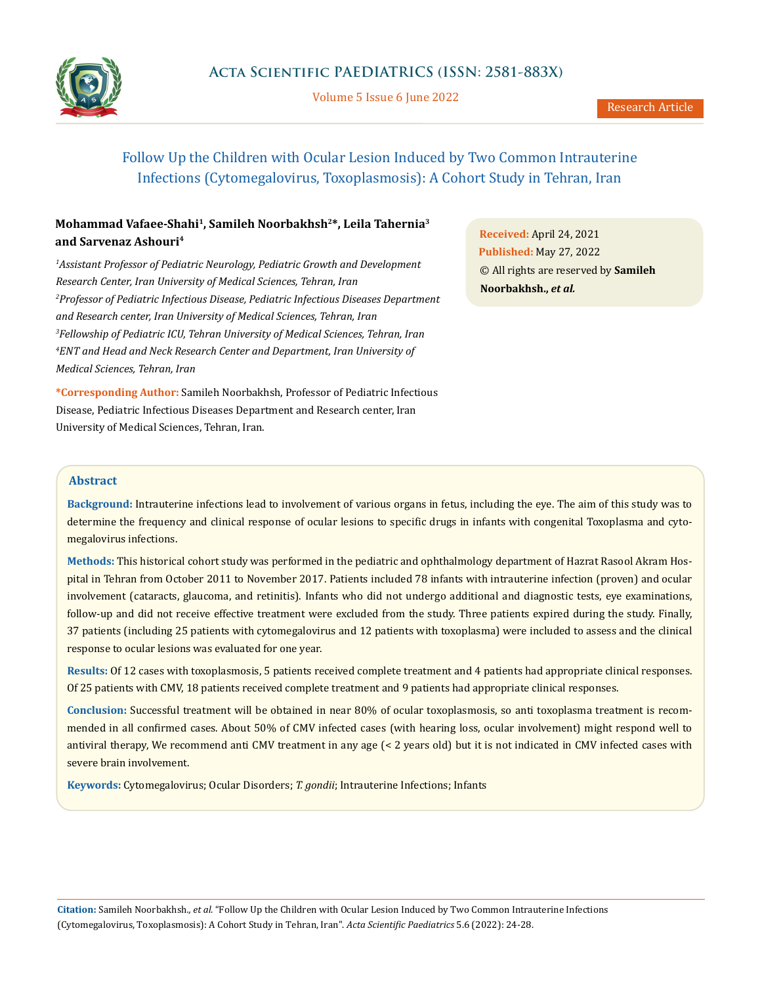

Volume 5 Issue 6 June 2022

# Follow Up the Children with Ocular Lesion Induced by Two Common Intrauterine Infections (Cytomegalovirus, Toxoplasmosis): A Cohort Study in Tehran, Iran

## **Mohammad Vafaee-Shahi1, Samileh Noorbakhsh2\*, Leila Tahernia3 and Sarvenaz Ashouri4**

<sup>1</sup> Assistant Professor of Pediatric Neurology, Pediatric Growth and Development *Research Center, Iran University of Medical Sciences, Tehran, Iran 2 Professor of Pediatric Infectious Disease, Pediatric Infectious Diseases Department and Research center, Iran University of Medical Sciences, Tehran, Iran 3 Fellowship of Pediatric ICU, Tehran University of Medical Sciences, Tehran, Iran 4 ENT and Head and Neck Research Center and Department, Iran University of Medical Sciences, Tehran, Iran*

**\*Corresponding Author:** Samileh Noorbakhsh, Professor of Pediatric Infectious Disease, Pediatric Infectious Diseases Department and Research center, Iran University of Medical Sciences, Tehran, Iran.

**Received:** April 24, 2021 **Published:** May 27, 2022 © All rights are reserved by **Samileh Noorbakhsh.,** *et al.*

### **Abstract**

**Background:** Intrauterine infections lead to involvement of various organs in fetus, including the eye. The aim of this study was to determine the frequency and clinical response of ocular lesions to specific drugs in infants with congenital Toxoplasma and cytomegalovirus infections.

**Methods:** This historical cohort study was performed in the pediatric and ophthalmology department of Hazrat Rasool Akram Hospital in Tehran from October 2011 to November 2017. Patients included 78 infants with intrauterine infection (proven) and ocular involvement (cataracts, glaucoma, and retinitis). Infants who did not undergo additional and diagnostic tests, eye examinations, follow-up and did not receive effective treatment were excluded from the study. Three patients expired during the study. Finally, 37 patients (including 25 patients with cytomegalovirus and 12 patients with toxoplasma) were included to assess and the clinical response to ocular lesions was evaluated for one year.

**Results:** Of 12 cases with toxoplasmosis, 5 patients received complete treatment and 4 patients had appropriate clinical responses. Of 25 patients with CMV, 18 patients received complete treatment and 9 patients had appropriate clinical responses.

**Conclusion:** Successful treatment will be obtained in near 80% of ocular toxoplasmosis, so anti toxoplasma treatment is recommended in all confirmed cases. About 50% of CMV infected cases (with hearing loss, ocular involvement) might respond well to antiviral therapy, We recommend anti CMV treatment in any age (< 2 years old) but it is not indicated in CMV infected cases with severe brain involvement.

**Keywords:** Cytomegalovirus; Ocular Disorders; *T. gondii*; Intrauterine Infections; Infants

**Citation:** Samileh Noorbakhsh*., et al.* "Follow Up the Children with Ocular Lesion Induced by Two Common Intrauterine Infections (Cytomegalovirus, Toxoplasmosis): A Cohort Study in Tehran, Iran". *Acta Scientific Paediatrics* 5.6 (2022): 24-28.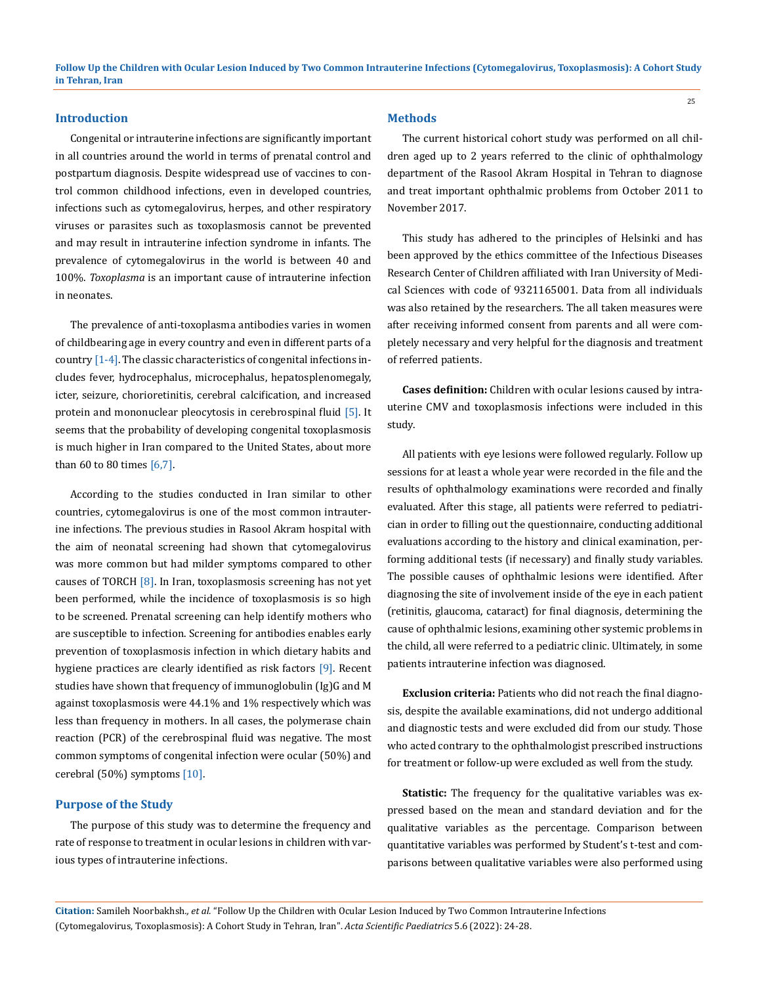#### **Introduction**

Congenital or intrauterine infections are significantly important in all countries around the world in terms of prenatal control and postpartum diagnosis. Despite widespread use of vaccines to control common childhood infections, even in developed countries, infections such as cytomegalovirus, herpes, and other respiratory viruses or parasites such as toxoplasmosis cannot be prevented and may result in intrauterine infection syndrome in infants. The prevalence of cytomegalovirus in the world is between 40 and 100%. *Toxoplasma* is an important cause of intrauterine infection in neonates.

The prevalence of anti-toxoplasma antibodies varies in women of childbearing age in every country and even in different parts of a country [1-4]. The classic characteristics of congenital infections includes fever, hydrocephalus, microcephalus, hepatosplenomegaly, icter, seizure, chorioretinitis, cerebral calcification, and increased protein and mononuclear pleocytosis in cerebrospinal fluid [5]. It seems that the probability of developing congenital toxoplasmosis is much higher in Iran compared to the United States, about more than 60 to 80 times [6,7].

According to the studies conducted in Iran similar to other countries, cytomegalovirus is one of the most common intrauterine infections. The previous studies in Rasool Akram hospital with the aim of neonatal screening had shown that cytomegalovirus was more common but had milder symptoms compared to other causes of TORCH [8]. In Iran, toxoplasmosis screening has not yet been performed, while the incidence of toxoplasmosis is so high to be screened. Prenatal screening can help identify mothers who are susceptible to infection. Screening for antibodies enables early prevention of toxoplasmosis infection in which dietary habits and hygiene practices are clearly identified as risk factors [9]. Recent studies have shown that frequency of immunoglobulin (Ig)G and M against toxoplasmosis were 44.1% and 1% respectively which was less than frequency in mothers. In all cases, the polymerase chain reaction (PCR) of the cerebrospinal fluid was negative. The most common symptoms of congenital infection were ocular (50%) and cerebral (50%) symptoms [10].

#### **Purpose of the Study**

The purpose of this study was to determine the frequency and rate of response to treatment in ocular lesions in children with various types of intrauterine infections.

#### **Methods**

The current historical cohort study was performed on all children aged up to 2 years referred to the clinic of ophthalmology department of the Rasool Akram Hospital in Tehran to diagnose and treat important ophthalmic problems from October 2011 to November 2017.

This study has adhered to the principles of Helsinki and has been approved by the ethics committee of the Infectious Diseases Research Center of Children affiliated with Iran University of Medical Sciences with code of 9321165001. Data from all individuals was also retained by the researchers. The all taken measures were after receiving informed consent from parents and all were completely necessary and very helpful for the diagnosis and treatment of referred patients.

**Cases definition:** Children with ocular lesions caused by intrauterine CMV and toxoplasmosis infections were included in this study.

All patients with eye lesions were followed regularly. Follow up sessions for at least a whole year were recorded in the file and the results of ophthalmology examinations were recorded and finally evaluated. After this stage, all patients were referred to pediatrician in order to filling out the questionnaire, conducting additional evaluations according to the history and clinical examination, performing additional tests (if necessary) and finally study variables. The possible causes of ophthalmic lesions were identified. After diagnosing the site of involvement inside of the eye in each patient (retinitis, glaucoma, cataract) for final diagnosis, determining the cause of ophthalmic lesions, examining other systemic problems in the child, all were referred to a pediatric clinic. Ultimately, in some patients intrauterine infection was diagnosed.

**Exclusion criteria:** Patients who did not reach the final diagnosis, despite the available examinations, did not undergo additional and diagnostic tests and were excluded did from our study. Those who acted contrary to the ophthalmologist prescribed instructions for treatment or follow-up were excluded as well from the study.

**Statistic:** The frequency for the qualitative variables was expressed based on the mean and standard deviation and for the qualitative variables as the percentage. Comparison between quantitative variables was performed by Student's t-test and comparisons between qualitative variables were also performed using

**Citation:** Samileh Noorbakhsh*., et al.* "Follow Up the Children with Ocular Lesion Induced by Two Common Intrauterine Infections (Cytomegalovirus, Toxoplasmosis): A Cohort Study in Tehran, Iran". *Acta Scientific Paediatrics* 5.6 (2022): 24-28.

25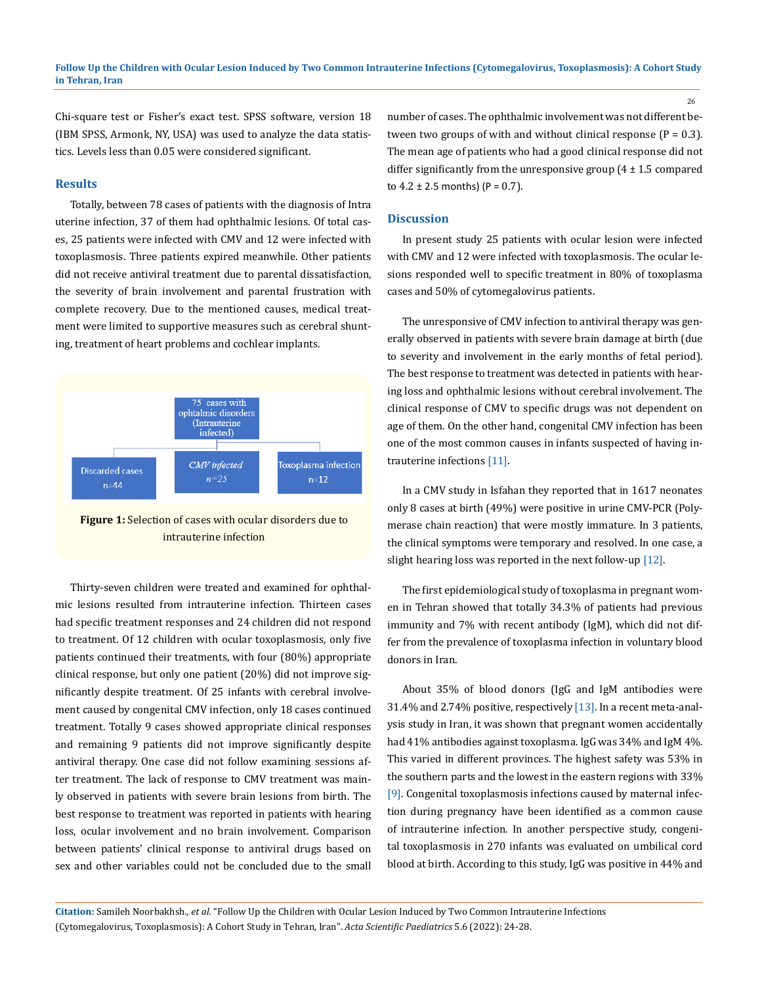Chi-square test or Fisher's exact test. SPSS software, version 18 (IBM SPSS, Armonk, NY, USA) was used to analyze the data statistics. Levels less than 0.05 were considered significant.

#### **Results**

Totally, between 78 cases of patients with the diagnosis of Intra uterine infection, 37 of them had ophthalmic lesions. Of total cases, 25 patients were infected with CMV and 12 were infected with toxoplasmosis. Three patients expired meanwhile. Other patients did not receive antiviral treatment due to parental dissatisfaction, the severity of brain involvement and parental frustration with complete recovery. Due to the mentioned causes, medical treatment were limited to supportive measures such as cerebral shunting, treatment of heart problems and cochlear implants.



**Figure 1:** Selection of cases with ocular disorders due to intrauterine infection

Thirty-seven children were treated and examined for ophthalmic lesions resulted from intrauterine infection. Thirteen cases had specific treatment responses and 24 children did not respond to treatment. Of 12 children with ocular toxoplasmosis, only five patients continued their treatments, with four (80%) appropriate clinical response, but only one patient (20%) did not improve significantly despite treatment. Of 25 infants with cerebral involvement caused by congenital CMV infection, only 18 cases continued treatment. Totally 9 cases showed appropriate clinical responses and remaining 9 patients did not improve significantly despite antiviral therapy. One case did not follow examining sessions after treatment. The lack of response to CMV treatment was mainly observed in patients with severe brain lesions from birth. The best response to treatment was reported in patients with hearing loss, ocular involvement and no brain involvement. Comparison between patients' clinical response to antiviral drugs based on sex and other variables could not be concluded due to the small

number of cases. The ophthalmic involvement was not different between two groups of with and without clinical response  $(P = 0.3)$ . The mean age of patients who had a good clinical response did not differ significantly from the unresponsive group  $(4 \pm 1.5 \text{ compared}$ to  $4.2 \pm 2.5$  months) (P = 0.7).

#### **Discussion**

In present study 25 patients with ocular lesion were infected with CMV and 12 were infected with toxoplasmosis. The ocular lesions responded well to specific treatment in 80% of toxoplasma cases and 50% of cytomegalovirus patients.

The unresponsive of CMV infection to antiviral therapy was generally observed in patients with severe brain damage at birth (due to severity and involvement in the early months of fetal period). The best response to treatment was detected in patients with hearing loss and ophthalmic lesions without cerebral involvement. The clinical response of CMV to specific drugs was not dependent on age of them. On the other hand, congenital CMV infection has been one of the most common causes in infants suspected of having intrauterine infections [11].

In a CMV study in Isfahan they reported that in 1617 neonates only 8 cases at birth (49%) were positive in urine CMV-PCR (Polymerase chain reaction) that were mostly immature. In 3 patients, the clinical symptoms were temporary and resolved. In one case, a slight hearing loss was reported in the next follow-up [12].

The first epidemiological study of toxoplasma in pregnant women in Tehran showed that totally 34.3% of patients had previous immunity and 7% with recent antibody (IgM), which did not differ from the prevalence of toxoplasma infection in voluntary blood donors in Iran.

About 35% of blood donors (IgG and IgM antibodies were 31.4% and 2.74% positive, respectively [13]. In a recent meta-analysis study in Iran, it was shown that pregnant women accidentally had 41% antibodies against toxoplasma. IgG was 34% and IgM 4%. This varied in different provinces. The highest safety was 53% in the southern parts and the lowest in the eastern regions with 33% [9]. Congenital toxoplasmosis infections caused by maternal infection during pregnancy have been identified as a common cause of intrauterine infection. In another perspective study, congenital toxoplasmosis in 270 infants was evaluated on umbilical cord blood at birth. According to this study, IgG was positive in 44% and

**Citation:** Samileh Noorbakhsh*., et al.* "Follow Up the Children with Ocular Lesion Induced by Two Common Intrauterine Infections (Cytomegalovirus, Toxoplasmosis): A Cohort Study in Tehran, Iran". *Acta Scientific Paediatrics* 5.6 (2022): 24-28.

26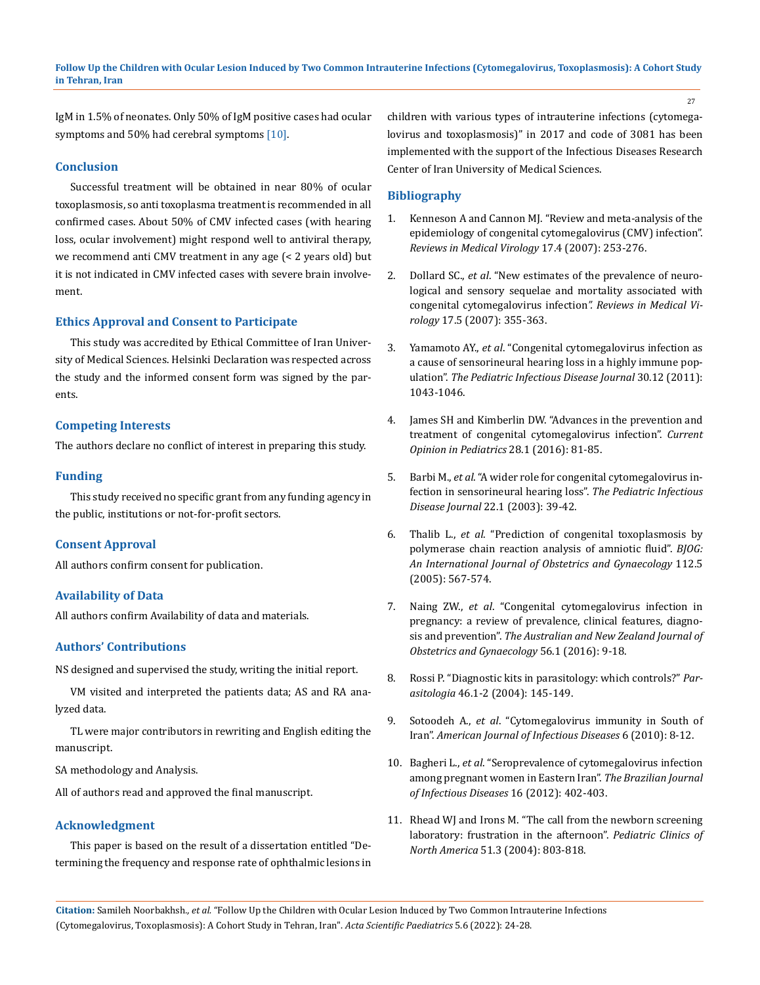IgM in 1.5% of neonates. Only 50% of IgM positive cases had ocular symptoms and 50% had cerebral symptoms  $[10]$ .

#### **Conclusion**

Successful treatment will be obtained in near 80% of ocular toxoplasmosis, so anti toxoplasma treatment is recommended in all confirmed cases. About 50% of CMV infected cases (with hearing loss, ocular involvement) might respond well to antiviral therapy, we recommend anti CMV treatment in any age (< 2 years old) but it is not indicated in CMV infected cases with severe brain involvement.

#### **Ethics Approval and Consent to Participate**

This study was accredited by Ethical Committee of Iran University of Medical Sciences. Helsinki Declaration was respected across the study and the informed consent form was signed by the parents.

#### **Competing Interests**

The authors declare no conflict of interest in preparing this study.

#### **Funding**

This study received no specific grant from any funding agency in the public, institutions or not-for-profit sectors.

#### **Consent Approval**

All authors confirm consent for publication.

#### **Availability of Data**

All authors confirm Availability of data and materials.

#### **Authors' Contributions**

NS designed and supervised the study, writing the initial report.

VM visited and interpreted the patients data; AS and RA analyzed data.

TL were major contributors in rewriting and English editing the manuscript.

SA methodology and Analysis.

All of authors read and approved the final manuscript.

#### **Acknowledgment**

This paper is based on the result of a dissertation entitled "Determining the frequency and response rate of ophthalmic lesions in children with various types of intrauterine infections (cytomegalovirus and toxoplasmosis)" in 2017 and code of 3081 has been implemented with the support of the Infectious Diseases Research Center of Iran University of Medical Sciences.

#### **Bibliography**

- 1. [Kenneson A and Cannon MJ. "Review and meta-analysis of the](https://pubmed.ncbi.nlm.nih.gov/17579921/)  [epidemiology of congenital cytomegalovirus \(CMV\) infection".](https://pubmed.ncbi.nlm.nih.gov/17579921/) *[Reviews in Medical Virology](https://pubmed.ncbi.nlm.nih.gov/17579921/)* 17.4 (2007): 253-276.
- 2. Dollard SC., *et al*[. "New estimates of the prevalence of neuro](https://www.researchgate.net/publication/6294395_New_estimates_of_the_prevalence_of_neurological_and_sensory_sequelae_and_mortality_associated_with_congenital_cytomegalovirus_infection)[logical and sensory sequelae and mortality associated with](https://www.researchgate.net/publication/6294395_New_estimates_of_the_prevalence_of_neurological_and_sensory_sequelae_and_mortality_associated_with_congenital_cytomegalovirus_infection) [congenital cytomegalovirus infection](https://www.researchgate.net/publication/6294395_New_estimates_of_the_prevalence_of_neurological_and_sensory_sequelae_and_mortality_associated_with_congenital_cytomegalovirus_infection)*". Reviews in Medical Virology* [17.5 \(2007\): 355-363.](https://www.researchgate.net/publication/6294395_New_estimates_of_the_prevalence_of_neurological_and_sensory_sequelae_and_mortality_associated_with_congenital_cytomegalovirus_infection)
- 3. Yamamoto AY., *et al*[. "Congenital cytomegalovirus infection as](https://www.ncbi.nlm.nih.gov/pmc/articles/PMC3222783/) [a cause of sensorineural hearing loss in a highly immune pop](https://www.ncbi.nlm.nih.gov/pmc/articles/PMC3222783/)ulation". *[The Pediatric Infectious Disease Journal](https://www.ncbi.nlm.nih.gov/pmc/articles/PMC3222783/)* 30.12 (2011): [1043-1046.](https://www.ncbi.nlm.nih.gov/pmc/articles/PMC3222783/)
- 4. [James SH and Kimberlin DW. "Advances in the prevention and](https://www.ncbi.nlm.nih.gov/pmc/articles/PMC4908547/) [treatment of congenital cytomegalovirus infection".](https://www.ncbi.nlm.nih.gov/pmc/articles/PMC4908547/) *Current [Opinion in Pediatrics](https://www.ncbi.nlm.nih.gov/pmc/articles/PMC4908547/)* 28.1 (2016): 81-85.
- 5. Barbi M., *et al*[. "A wider role for congenital cytomegalovirus in](https://journals.lww.com/pidj/Abstract/2003/01000/A_wider_role_for_congenital_cytomegalovirus.12.aspx)[fection in sensorineural hearing loss".](https://journals.lww.com/pidj/Abstract/2003/01000/A_wider_role_for_congenital_cytomegalovirus.12.aspx) *The Pediatric Infectious Disease Journal* [22.1 \(2003\): 39-42.](https://journals.lww.com/pidj/Abstract/2003/01000/A_wider_role_for_congenital_cytomegalovirus.12.aspx)
- 6. Thalib L., *et al*[. "Prediction of congenital toxoplasmosis by](https://obgyn.onlinelibrary.wiley.com/doi/abs/10.1111/j.1471-0528.2005.00486.x) [polymerase chain reaction analysis of amniotic fluid".](https://obgyn.onlinelibrary.wiley.com/doi/abs/10.1111/j.1471-0528.2005.00486.x) *BJOG: [An International Journal of Obstetrics and Gynaecology](https://obgyn.onlinelibrary.wiley.com/doi/abs/10.1111/j.1471-0528.2005.00486.x)* 112.5 [\(2005\): 567-574.](https://obgyn.onlinelibrary.wiley.com/doi/abs/10.1111/j.1471-0528.2005.00486.x)
- 7. Naing ZW., *et al*[. "Congenital cytomegalovirus infection in](https://www.ncbi.nlm.nih.gov/pmc/articles/PMC4934990/) [pregnancy: a review of prevalence, clinical features, diagno](https://www.ncbi.nlm.nih.gov/pmc/articles/PMC4934990/)sis and prevention". *[The Australian and New Zealand Journal of](https://www.ncbi.nlm.nih.gov/pmc/articles/PMC4934990/)  [Obstetrics and Gynaecology](https://www.ncbi.nlm.nih.gov/pmc/articles/PMC4934990/)* 56.1 (2016): 9-18.
- 8. [Rossi P. "Diagnostic kits in parasitology: which controls?"](https://pubmed.ncbi.nlm.nih.gov/15305705/) *Parasitologia* [46.1-2 \(2004\): 145-149.](https://pubmed.ncbi.nlm.nih.gov/15305705/)
- 9. Sotoodeh A., *et al*[. "Cytomegalovirus immunity in South of](https://thescipub.com/abstract/10.3844/ajidsp.2010.8.12) Iran". *[American Journal of Infectious Diseases](https://thescipub.com/abstract/10.3844/ajidsp.2010.8.12)* 6 (2010): 8-12.
- 10. Bagheri L., *et al*[. "Seroprevalence of cytomegalovirus infection](https://www.bjid.org.br/en-seroprevalence-cytomegalovirus-infection-among-pregnant-articulo-S1413867012000530)  [among pregnant women in Eastern Iran".](https://www.bjid.org.br/en-seroprevalence-cytomegalovirus-infection-among-pregnant-articulo-S1413867012000530) *The Brazilian Journal [of Infectious Diseases](https://www.bjid.org.br/en-seroprevalence-cytomegalovirus-infection-among-pregnant-articulo-S1413867012000530)* 16 (2012): 402-403.
- 11. [Rhead WJ and Irons M. "The call from the newborn screening](https://pubmed.ncbi.nlm.nih.gov/15157599/) [laboratory: frustration in the afternoon".](https://pubmed.ncbi.nlm.nih.gov/15157599/) *Pediatric Clinics of North America* [51.3 \(2004\): 803-818.](https://pubmed.ncbi.nlm.nih.gov/15157599/)

27